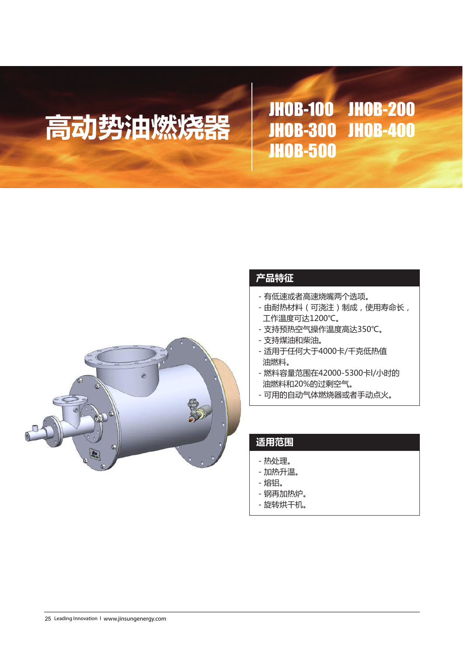# 高动势油燃烧器 | JHOB-100 JHOB-200 JHOB-300 JHOB-400 JHOB-500



## **产品特征**

- 有低速或者高速烧嘴两个选项。
- 由耐热材料(可浇注)制成,使用寿命长, 工作温度可达1200℃。
- 支持预热空气操作温度高达350℃。
- 支持煤油和柴油。
- 适用于任何大于4000卡/千克低热值 油燃料。
- 燃料容量范围在42000-5300卡l/小时的 油燃料和20%的过剩空气。
- 可用的自动气体燃烧器或者手动点火。

### **适用范围**

- 热处理。
- 加热升温。
- 熔铝。
- 钢再加热炉。
- 旋转烘干机。